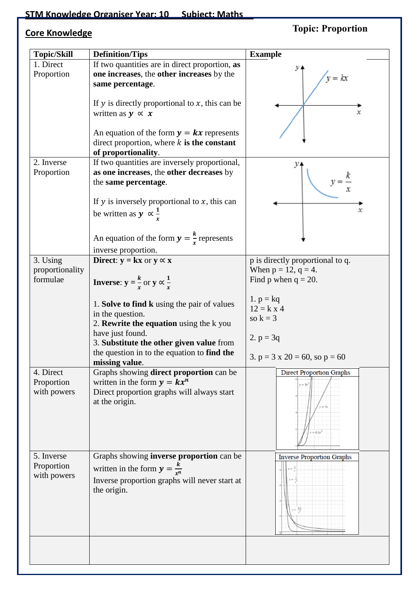## **STM Knowledge Organiser Year: 10 Subject: Maths**

## **Core Knowledge**

## **Topic: Proportion**

| <b>Topic/Skill</b> | <b>Definition/Tips</b>                                       | <b>Example</b>                          |
|--------------------|--------------------------------------------------------------|-----------------------------------------|
| 1. Direct          | If two quantities are in direct proportion, as               |                                         |
| Proportion         | one increases, the other increases by the                    |                                         |
|                    |                                                              | $v = kx$                                |
|                    | same percentage.                                             |                                         |
|                    |                                                              |                                         |
|                    | If $y$ is directly proportional to $x$ , this can be         |                                         |
|                    | written as $y \propto x$                                     | х                                       |
|                    |                                                              |                                         |
|                    | An equation of the form $y = kx$ represents                  |                                         |
|                    | direct proportion, where $k$ is the constant                 |                                         |
|                    | of proportionality.                                          |                                         |
| 2. Inverse         | If two quantities are inversely proportional,                |                                         |
| Proportion         | as one increases, the other decreases by                     |                                         |
|                    | the same percentage.                                         |                                         |
|                    |                                                              |                                         |
|                    | If $y$ is inversely proportional to $x$ , this can           |                                         |
|                    |                                                              | x                                       |
|                    | be written as $y \propto \frac{1}{r}$                        |                                         |
|                    |                                                              |                                         |
|                    | An equation of the form $y = \frac{k}{r}$ represents         |                                         |
|                    |                                                              |                                         |
|                    | inverse proportion.                                          |                                         |
| 3. Using           | <b>Direct:</b> $y = kx$ or $y \propto x$                     | p is directly proportional to q.        |
| proportionality    |                                                              | When $p = 12$ , $q = 4$ .               |
| formulae           | <b>Inverse:</b> $y = \frac{k}{r}$ or $y \propto \frac{1}{r}$ | Find p when $q = 20$ .                  |
|                    |                                                              |                                         |
|                    | 1. Solve to find k using the pair of values                  | 1. $p = kq$                             |
|                    | in the question.                                             | $12 = k \times 4$                       |
|                    | 2. Rewrite the equation using the k you                      | so $k = 3$                              |
|                    | have just found.                                             |                                         |
|                    | 3. Substitute the other given value from                     | 2. $p = 3q$                             |
|                    |                                                              |                                         |
|                    | the question in to the equation to find the                  | 3. $p = 3 \times 20 = 60$ , so $p = 60$ |
|                    | missing value.                                               |                                         |
| 4. Direct          | Graphs showing direct proportion can be                      | <b>Direct Proportion Graphs</b>         |
| Proportion         | written in the form $y = kx^n$                               | $y = 3x^2$                              |
| with powers        | Direct proportion graphs will always start                   |                                         |
|                    | at the origin.                                               |                                         |
|                    |                                                              |                                         |
|                    |                                                              |                                         |
|                    |                                                              | $= 0.5x^3$                              |
|                    |                                                              |                                         |
|                    |                                                              |                                         |
| 5. Inverse         | Graphs showing <b>inverse proportion</b> can be              | <b>Inverse Proportion Graphs</b>        |
| Proportion         | written in the form $y = \frac{k}{r^n}$                      |                                         |
| with powers        | Inverse proportion graphs will never start at                |                                         |
|                    | the origin.                                                  |                                         |
|                    |                                                              |                                         |
|                    |                                                              |                                         |
|                    |                                                              |                                         |
|                    |                                                              |                                         |
|                    |                                                              |                                         |
|                    |                                                              |                                         |
|                    |                                                              |                                         |
|                    |                                                              |                                         |